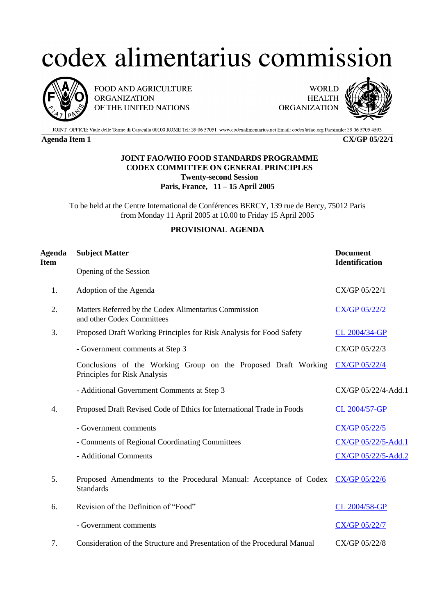## codex alimentarius commission



FOOD AND AGRICULTURE **ORGANIZATION** OF THE UNITED NATIONS

**WORLD HEALTH ORGANIZATION** 



JOINT OFFICE: Viale delle Terme di Caracalla 00100 ROME Tel: 39 06 57051 www.codexalimentarius.net Email: codex@fao.org Facsimile: 39 06 5705 4593

**Agenda Item 1 CX/GP 05/22/1**

## **JOINT FAO/WHO FOOD STANDARDS PROGRAMME CODEX COMMITTEE ON GENERAL PRINCIPLES Twenty-second Session Paris, France, 11 – 15 April 2005**

To be held at the Centre International de Conférences BERCY, 139 rue de Bercy, 75012 Paris from Monday 11 April 2005 at 10.00 to Friday 15 April 2005

## **PROVISIONAL AGENDA**

| <b>Agenda</b><br><b>Item</b> | <b>Subject Matter</b>                                                                          | <b>Document</b><br><b>Identification</b> |
|------------------------------|------------------------------------------------------------------------------------------------|------------------------------------------|
|                              | Opening of the Session                                                                         |                                          |
| 1.                           | Adoption of the Agenda                                                                         | CX/GP 05/22/1                            |
| 2.                           | Matters Referred by the Codex Alimentarius Commission<br>and other Codex Committees            | <b>CX/GP 05/22/2</b>                     |
| 3.                           | Proposed Draft Working Principles for Risk Analysis for Food Safety                            | CL 2004/34-GP                            |
|                              | - Government comments at Step 3                                                                | CX/GP 05/22/3                            |
|                              | Conclusions of the Working Group on the Proposed Draft Working<br>Principles for Risk Analysis | <b>CX/GP 05/22/4</b>                     |
|                              | - Additional Government Comments at Step 3                                                     | CX/GP 05/22/4-Add.1                      |
| 4.                           | Proposed Draft Revised Code of Ethics for International Trade in Foods                         | CL 2004/57-GP                            |
|                              | - Government comments                                                                          | <b>CX/GP 05/22/5</b>                     |
|                              | - Comments of Regional Coordinating Committees                                                 | CX/GP 05/22/5-Add.1                      |
|                              | - Additional Comments                                                                          | CX/GP 05/22/5-Add.2                      |
| 5.                           | Proposed Amendments to the Procedural Manual: Acceptance of Codex<br><b>Standards</b>          | <b>CX/GP 05/22/6</b>                     |
| 6.                           | Revision of the Definition of "Food"                                                           | CL 2004/58-GP                            |
|                              | - Government comments                                                                          | <b>CX/GP 05/22/7</b>                     |
| 7.                           | Consideration of the Structure and Presentation of the Procedural Manual                       | CX/GP 05/22/8                            |